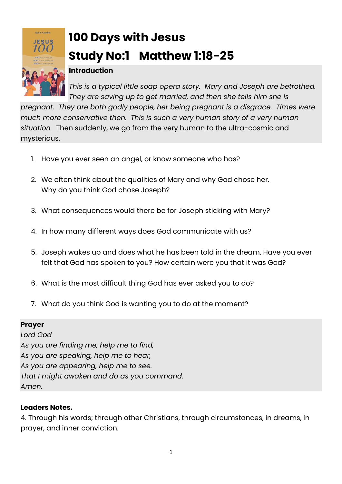

# **100 Days with Jesus Study No:1 Matthew 1:18-25**

### **Introduction**

*This is a typical little soap opera story. Mary and Joseph are betrothed. They are saving up to get married, and then she tells him she is* 

*pregnant. They are both godly people, her being pregnant is a disgrace. Times were much more conservative then. This is such a very human story of a very human situation.* Then suddenly, we go from the very human to the ultra-cosmic and mysterious.

- 1. Have you ever seen an angel, or know someone who has?
- 2. We often think about the qualities of Mary and why God chose her. Why do you think God chose Joseph?
- 3. What consequences would there be for Joseph sticking with Mary?
- 4. In how many different ways does God communicate with us?
- 5. Joseph wakes up and does what he has been told in the dream. Have you ever felt that God has spoken to you? How certain were you that it was God?
- 6. What is the most difficult thing God has ever asked you to do?
- 7. What do you think God is wanting you to do at the moment?

### **Prayer**

*Lord God As you are finding me, help me to find, As you are speaking, help me to hear, As you are appearing, help me to see. That I might awaken and do as you command. Amen.* 

### **Leaders Notes.**

4. Through his words; through other Christians, through circumstances, in dreams, in prayer, and inner conviction.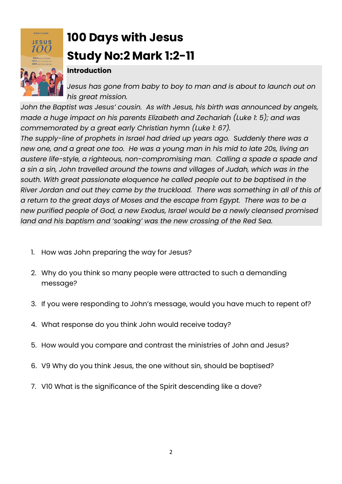

# **100 Days with Jesus Study No:2 Mark 1:2-11**

### **Introduction**

*Jesus has gone from baby to boy to man and is about to launch out on his great mission.* 

*John the Baptist was Jesus' cousin. As with Jesus, his birth was announced by angels, made a huge impact on his parents Elizabeth and Zechariah (Luke 1: 5); and was commemorated by a great early Christian hymn (Luke 1: 67).*

*The supply-line of prophets in Israel had dried up years ago. Suddenly there was a new one, and a great one too. He was a young man in his mid to late 20s, living an austere life-style, a righteous, non-compromising man. Calling a spade a spade and a sin a sin, John travelled around the towns and villages of Judah, which was in the south. With great passionate eloquence he called people out to be baptised in the River Jordan and out they came by the truckload. There was something in all of this of a return to the great days of Moses and the escape from Egypt. There was to be a*  new purified people of God, a new Exodus, Israel would be a newly cleansed promised *land and his baptism and 'soaking' was the new crossing of the Red Sea.*

- 1. How was John preparing the way for Jesus?
- 2. Why do you think so many people were attracted to such a demanding message?
- 3. If you were responding to John's message, would you have much to repent of?
- 4. What response do you think John would receive today?
- 5. How would you compare and contrast the ministries of John and Jesus?
- 6. V9 Why do you think Jesus, the one without sin, should be baptised?
- 7. V10 What is the significance of the Spirit descending like a dove?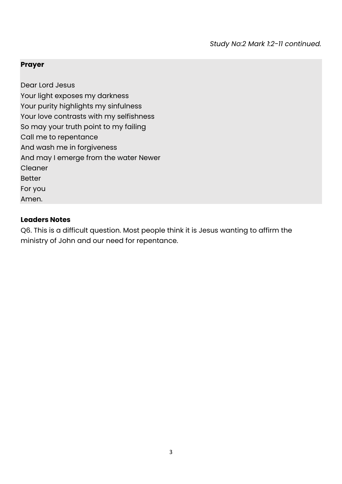*Study No:2 Mark 1:2-11 continued.*

#### **Prayer**

Dear Lord Jesus Your light exposes my darkness Your purity highlights my sinfulness Your love contrasts with my selfishness So may your truth point to my failing Call me to repentance And wash me in forgiveness And may I emerge from the water Newer Cleaner Better For you Amen.

#### **Leaders Notes**

Q6. This is a difficult question. Most people think it is Jesus wanting to affirm the ministry of John and our need for repentance.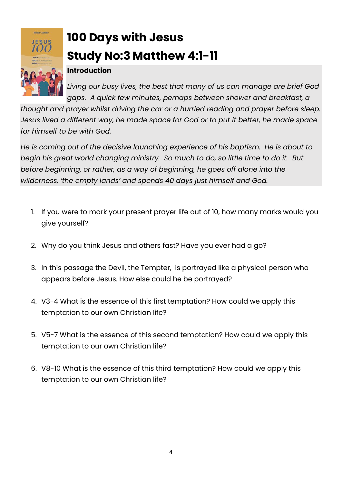

# **100 Days with Jesus Study No:3 Matthew 4:1-11**

### **Introduction**

*Living our busy lives, the best that many of us can manage are brief God gaps. A quick few minutes, perhaps between shower and breakfast, a* 

*thought and prayer whilst driving the car or a hurried reading and prayer before sleep. Jesus lived a different way, he made space for God or to put it better, he made space for himself to be with God.* 

*He is coming out of the decisive launching experience of his baptism. He is about to begin his great world changing ministry. So much to do, so little time to do it. But before beginning, or rather, as a way of beginning, he goes off alone into the wilderness, 'the empty lands' and spends 40 days just himself and God.* 

- 1. If you were to mark your present prayer life out of 10, how many marks would you give yourself?
- 2. Why do you think Jesus and others fast? Have you ever had a go?
- 3. In this passage the Devil, the Tempter, is portrayed like a physical person who appears before Jesus. How else could he be portrayed?
- 4. V3-4 What is the essence of this first temptation? How could we apply this temptation to our own Christian life?
- 5. V5-7 What is the essence of this second temptation? How could we apply this temptation to our own Christian life?
- 6. V8-10 What is the essence of this third temptation? How could we apply this temptation to our own Christian life?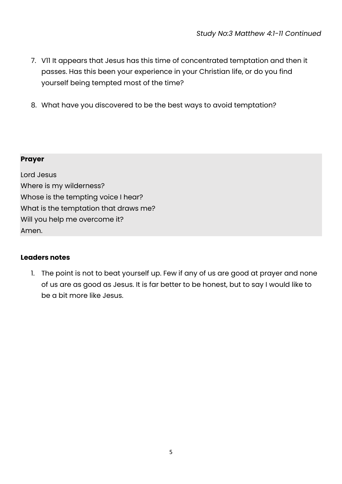- 7. V11 It appears that Jesus has this time of concentrated temptation and then it passes. Has this been your experience in your Christian life, or do you find yourself being tempted most of the time?
- 8. What have you discovered to be the best ways to avoid temptation?

Lord Jesus Where is my wilderness? Whose is the tempting voice I hear? What is the temptation that draws me? Will you help me overcome it? Amen.

### **Leaders notes**

1. The point is not to beat yourself up. Few if any of us are good at prayer and none of us are as good as Jesus. It is far better to be honest, but to say I would like to be a bit more like Jesus.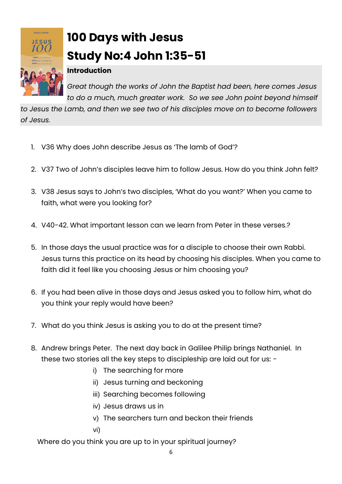

# **100 Days with Jesus Study No:4 John 1:35-51**

### **Introduction**

*Great though the works of John the Baptist had been, here comes Jesus to do a much, much greater work. So we see John point beyond himself* 

*to Jesus the Lamb, and then we see two of his disciples move on to become followers of Jesus.* 

- 1. V36 Why does John describe Jesus as 'The lamb of God'?
- 2. V37 Two of John's disciples leave him to follow Jesus. How do you think John felt?
- 3. V38 Jesus says to John's two disciples, 'What do you want?' When you came to faith, what were you looking for?
- 4. V40-42. What important lesson can we learn from Peter in these verses.?
- 5. In those days the usual practice was for a disciple to choose their own Rabbi. Jesus turns this practice on its head by choosing his disciples. When you came to faith did it feel like you choosing Jesus or him choosing you?
- 6. If you had been alive in those days and Jesus asked you to follow him, what do you think your reply would have been?
- 7. What do you think Jesus is asking you to do at the present time?
- 8. Andrew brings Peter. The next day back in Galilee Philip brings Nathaniel. In these two stories all the key steps to discipleship are laid out for us:
	- i) The searching for more
	- ii) Jesus turning and beckoning
	- iii) Searching becomes following
	- iv) Jesus draws us in
	- v) The searchers turn and beckon their friends
	- vi)

Where do you think you are up to in your spiritual journey?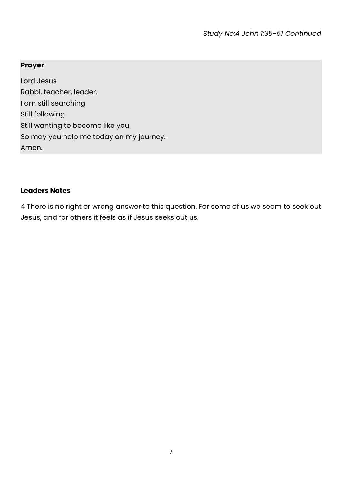Lord Jesus Rabbi, teacher, leader. I am still searching Still following Still wanting to become like you. So may you help me today on my journey. Amen.

#### **Leaders Notes**

4 There is no right or wrong answer to this question. For some of us we seem to seek out Jesus, and for others it feels as if Jesus seeks out us.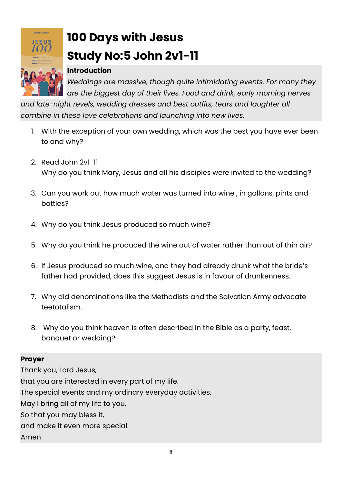

# **100 Days with Jesus Study No:5 John 2v1-11**

### **Introduction**

*Weddings are massive, though quite intimidating events. For many they are the biggest day of their lives. Food and drink, early morning nerves* 

and late-night revels, wedding dresses and best outfits, tears and laughter all *combine in these love celebrations and launching into new lives.*

- 1. With the exception of your own wedding, which was the best you have ever been to and why?
- 2. Read John 2v1-11 Why do you think Mary, Jesus and all his disciples were invited to the wedding?
- 3. Can you work out how much water was turned into wine , in gallons, pints and bottles?
- 4. Why do you think Jesus produced so much wine?
- 5. Why do you think he produced the wine out of water rather than out of thin air?
- 6. If Jesus produced so much wine, and they had already drunk what the bride's father had provided, does this suggest Jesus is in favour of drunkenness.
- 7. Why did denominations like the Methodists and the Salvation Army advocate teetotalism.
- 8. Why do you think heaven is often described in the Bible as a party, feast, banquet or wedding?

#### **Prayer**

Thank you, Lord Jesus, that you are interested in every part of my life. The special events and my ordinary everyday activities. May I bring all of my life to you, So that you may bless it, and make it even more special. Amen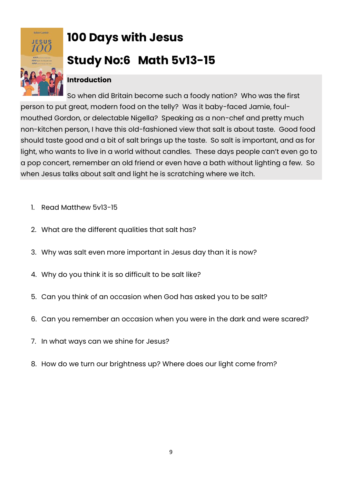

# **100 Days with Jesus**

## **Study No:6 Math 5v13-15**

### **Introduction**

So when did Britain become such a foody nation? Who was the first person to put great, modern food on the telly? Was it baby-faced Jamie, foulmouthed Gordon, or delectable Nigella? Speaking as a non-chef and pretty much non-kitchen person, I have this old-fashioned view that salt is about taste. Good food should taste good and a bit of salt brings up the taste. So salt is important, and as for light, who wants to live in a world without candles. These days people can't even go to a pop concert, remember an old friend or even have a bath without lighting a few. So when Jesus talks about salt and light he is scratching where we itch.

- 1. Read Matthew 5v13-15
- 2. What are the different qualities that salt has?
- 3. Why was salt even more important in Jesus day than it is now?
- 4. Why do you think it is so difficult to be salt like?
- 5. Can you think of an occasion when God has asked you to be salt?
- 6. Can you remember an occasion when you were in the dark and were scared?
- 7. In what ways can we shine for Jesus?
- 8. How do we turn our brightness up? Where does our light come from?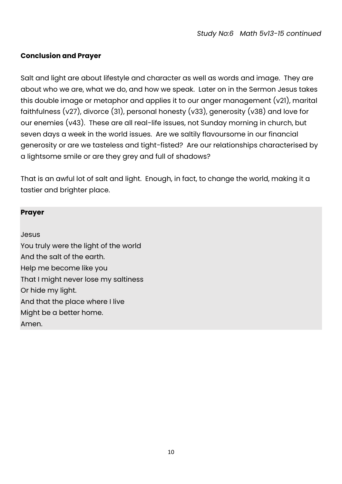#### **Conclusion and Prayer**

Salt and light are about lifestyle and character as well as words and image. They are about who we are, what we do, and how we speak. Later on in the Sermon Jesus takes this double image or metaphor and applies it to our anger management (v21), marital faithfulness (v27), divorce (31), personal honesty (v33), generosity (v38) and love for our enemies (v43). These are all real-life issues, not Sunday morning in church, but seven days a week in the world issues. Are we saltily flavoursome in our financial generosity or are we tasteless and tight-fisted? Are our relationships characterised by a lightsome smile or are they grey and full of shadows?

That is an awful lot of salt and light. Enough, in fact, to change the world, making it a tastier and brighter place.

#### **Prayer**

Jesus You truly were the light of the world And the salt of the earth. Help me become like you That I might never lose my saltiness Or hide my light. And that the place where I live Might be a better home. Amen.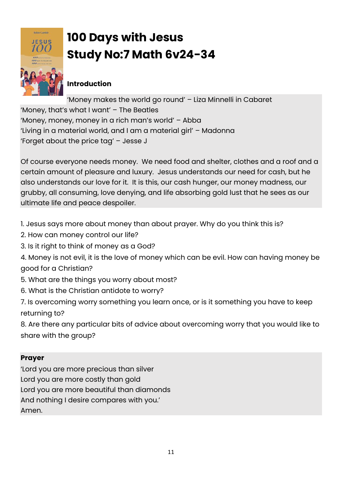

# **100 Days with Jesus Study No:7 Math 6v24-34**

### **Introduction**

'Money makes the world go round' – Liza Minnelli in Cabaret 'Money, that's what I want' – The Beatles 'Money, money, money in a rich man's world' – Abba 'Living in a material world, and I am a material girl' – Madonna 'Forget about the price tag' – Jesse J

Of course everyone needs money. We need food and shelter, clothes and a roof and a certain amount of pleasure and luxury. Jesus understands our need for cash, but he also understands our love for it. It is this, our cash hunger, our money madness, our grubby, all consuming, love denying, and life absorbing gold lust that he sees as our ultimate life and peace despoiler.

1. Jesus says more about money than about prayer. Why do you think this is?

- 2. How can money control our life?
- 3. Is it right to think of money as a God?
- 4. Money is not evil, it is the love of money which can be evil. How can having money be good for a Christian?
- 5. What are the things you worry about most?
- 6. What is the Christian antidote to worry?
- 7. Is overcoming worry something you learn once, or is it something you have to keep returning to?

8. Are there any particular bits of advice about overcoming worry that you would like to share with the group?

### **Prayer**

'Lord you are more precious than silver

Lord you are more costly than gold

Lord you are more beautiful than diamonds

And nothing I desire compares with you.'

Amen.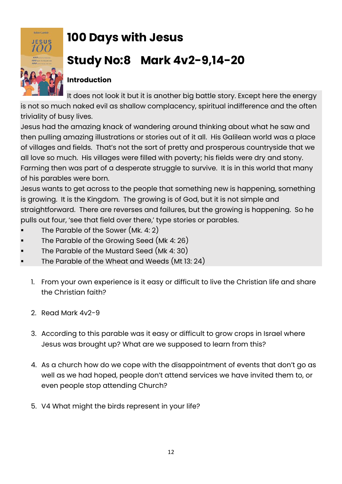

### **100 Days with Jesus**

## **Study No:8 Mark 4v2-9,14-20**

### **Introduction**

It does not look it but it is another big battle story. Except here the energy is not so much naked evil as shallow complacency, spiritual indifference and the often triviality of busy lives.

Jesus had the amazing knack of wandering around thinking about what he saw and then pulling amazing illustrations or stories out of it all. His Galilean world was a place of villages and fields. That's not the sort of pretty and prosperous countryside that we all love so much. His villages were filled with poverty; his fields were dry and stony. Farming then was part of a desperate struggle to survive. It is in this world that many of his parables were born.

Jesus wants to get across to the people that something new is happening, something is growing. It is the Kingdom. The growing is of God, but it is not simple and straightforward. There are reverses and failures, but the growing is happening. So he pulls out four, 'see that field over there,' type stories or parables.

- The Parable of the Sower (Mk. 4: 2)
- The Parable of the Growing Seed (Mk 4: 26)
- The Parable of the Mustard Seed (Mk 4: 30)
- The Parable of the Wheat and Weeds (Mt 13: 24)
	- 1. From your own experience is it easy or difficult to live the Christian life and share the Christian faith?
	- 2. Read Mark 4v2-9
	- 3. According to this parable was it easy or difficult to grow crops in Israel where Jesus was brought up? What are we supposed to learn from this?
	- 4. As a church how do we cope with the disappointment of events that don't go as well as we had hoped, people don't attend services we have invited them to, or even people stop attending Church?
	- 5. V4 What might the birds represent in your life?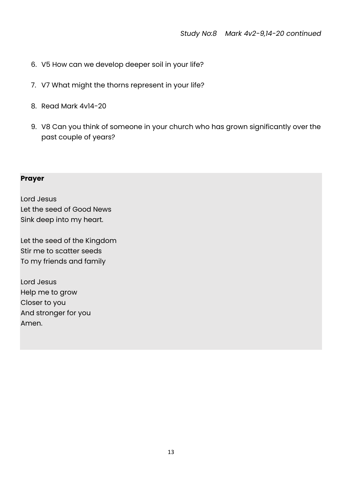- 6. V5 How can we develop deeper soil in your life?
- 7. V7 What might the thorns represent in your life?
- 8. Read Mark 4v14-20
- 9. V8 Can you think of someone in your church who has grown significantly over the past couple of years?

Lord Jesus Let the seed of Good News Sink deep into my heart.

Let the seed of the Kingdom Stir me to scatter seeds To my friends and family

Lord Jesus Help me to grow Closer to you And stronger for you Amen.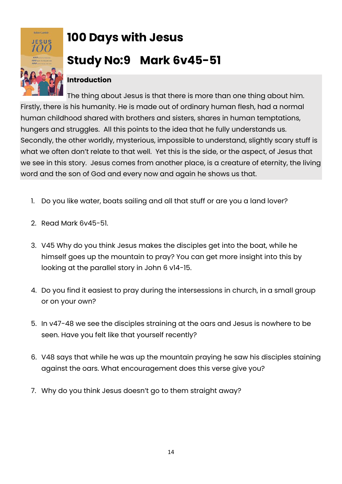

# **100 Days with Jesus**

### **Study No:9 Mark 6v45-51**

### **Introduction**

The thing about Jesus is that there is more than one thing about him. Firstly, there is his humanity. He is made out of ordinary human flesh, had a normal human childhood shared with brothers and sisters, shares in human temptations, hungers and struggles. All this points to the idea that he fully understands us. Secondly, the other worldly, mysterious, impossible to understand, slightly scary stuff is what we often don't relate to that well. Yet this is the side, or the aspect, of Jesus that we see in this story. Jesus comes from another place, is a creature of eternity, the living word and the son of God and every now and again he shows us that.

- 1. Do you like water, boats sailing and all that stuff or are you a land lover?
- 2. Read Mark 6v45-51.
- 3. V45 Why do you think Jesus makes the disciples get into the boat, while he himself goes up the mountain to pray? You can get more insight into this by looking at the parallel story in John 6 v14-15.
- 4. Do you find it easiest to pray during the intersessions in church, in a small group or on your own?
- 5. In v47-48 we see the disciples straining at the oars and Jesus is nowhere to be seen. Have you felt like that yourself recently?
- 6. V48 says that while he was up the mountain praying he saw his disciples staining against the oars. What encouragement does this verse give you?
- 7. Why do you think Jesus doesn't go to them straight away?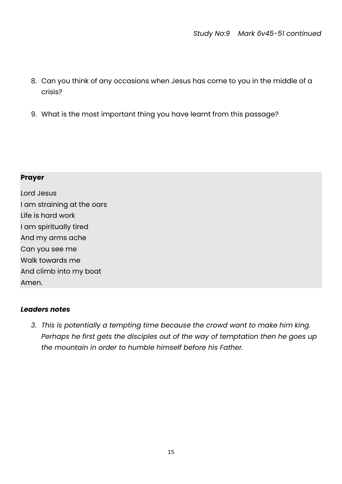- 8. Can you think of any occasions when Jesus has come to you in the middle of a crisis?
- 9. What is the most important thing you have learnt from this passage?

Lord Jesus I am straining at the oars Life is hard work I am spiritually tired And my arms ache Can you see me Walk towards me And climb into my boat Amen.

#### *Leaders notes*

*3. This is potentially a tempting time because the crowd want to make him king. Perhaps he first gets the disciples out of the way of temptation then he goes up the mountain in order to humble himself before his Father.*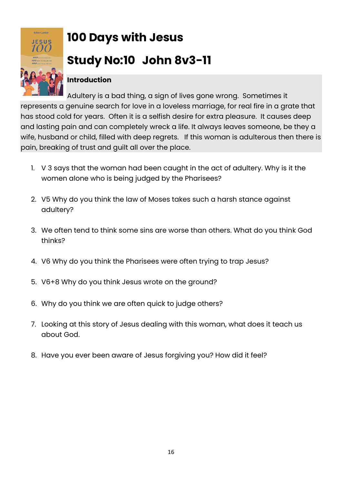

### **100 Days with Jesus**

## **Study No:10 John 8v3-11**

### **Introduction**

Adultery is a bad thing, a sign of lives gone wrong. Sometimes it represents a genuine search for love in a loveless marriage, for real fire in a grate that has stood cold for years. Often it is a selfish desire for extra pleasure. It causes deep and lasting pain and can completely wreck a life. It always leaves someone, be they a wife, husband or child, filled with deep regrets. If this woman is adulterous then there is pain, breaking of trust and guilt all over the place.

- 1. V 3 says that the woman had been caught in the act of adultery. Why is it the women alone who is being judged by the Pharisees?
- 2. V5 Why do you think the law of Moses takes such a harsh stance against adultery?
- 3. We often tend to think some sins are worse than others. What do you think God thinks?
- 4. V6 Why do you think the Pharisees were often trying to trap Jesus?
- 5. V6+8 Why do you think Jesus wrote on the ground?
- 6. Why do you think we are often quick to judge others?
- 7. Looking at this story of Jesus dealing with this woman, what does it teach us about God.
- 8. Have you ever been aware of Jesus forgiving you? How did it feel?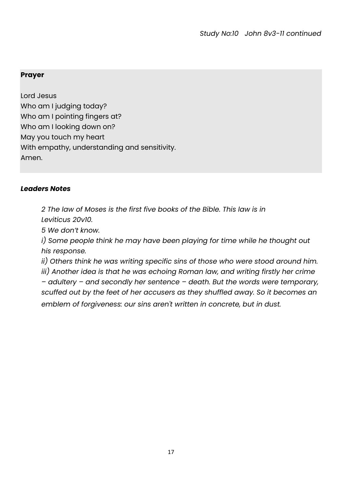Lord Jesus Who am I judging today? Who am I pointing fingers at? Who am I looking down on? May you touch my heart With empathy, understanding and sensitivity. Amen.

#### *Leaders Notes*

*2 The law of Moses is the first five books of the Bible. This law is in Leviticus 20v10.*

*5 We don't know.* 

*i*) Some people think he may have been playing for time while he thought out *his response.* 

*ii) Others think he was writing specific sins of those who were stood around him. iii) Another idea is that he was echoing Roman law, and writing firstly her crime – adultery – and secondly her sentence – death. But the words were temporary, scuffed out by the feet of her accusers as they shuffled away. So it becomes an emblem of forgiveness: our sins aren't written in concrete, but in dust.*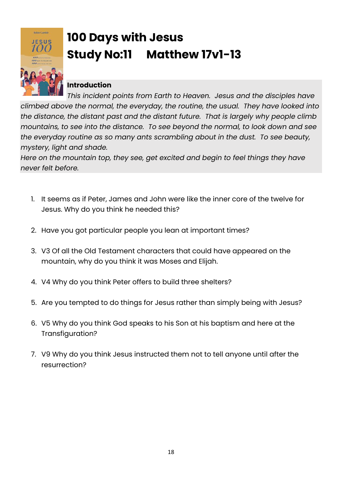

# **100 Days with Jesus Study No:11 Matthew 17v1-13**

### **Introduction**

*This incident points from Earth to Heaven. Jesus and the disciples have climbed above the normal, the everyday, the routine, the usual. They have looked into the distance, the distant past and the distant future. That is largely why people climb mountains, to see into the distance. To see beyond the normal, to look down and see the everyday routine as so many ants scrambling about in the dust. To see beauty, mystery, light and shade.*

*Here on the mountain top, they see, get excited and begin to feel things they have never felt before.*

- 1. It seems as if Peter, James and John were like the inner core of the twelve for Jesus. Why do you think he needed this?
- 2. Have you got particular people you lean at important times?
- 3. V3 Of all the Old Testament characters that could have appeared on the mountain, why do you think it was Moses and Elijah.
- 4. V4 Why do you think Peter offers to build three shelters?
- 5. Are you tempted to do things for Jesus rather than simply being with Jesus?
- 6. V5 Why do you think God speaks to his Son at his baptism and here at the Transfiguration?
- 7. V9 Why do you think Jesus instructed them not to tell anyone until after the resurrection?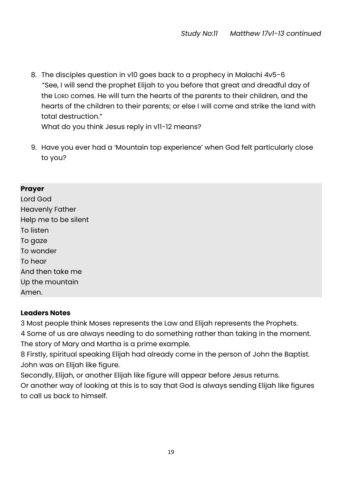8. The disciples question in v10 goes back to a prophecy in Malachi 4v5-6 "See, I will send the prophet Elijah to you before that great and dreadful day of the LORD comes. He will turn the hearts of the parents to their children, and the hearts of the children to their parents; or else I will come and strike the land with total destruction."

What do you think Jesus reply in v11-12 means?

9. Have you ever had a 'Mountain top experience' when God felt particularly close to you?

#### **Prayer**

Lord God Heavenly Father Help me to be silent To listen To gaze To wonder To hear And then take me Up the mountain Amen.

### **Leaders Notes**

3 Most people think Moses represents the Law and Elijah represents the Prophets. 4 Some of us are always needing to do something rather than taking in the moment.

The story of Mary and Martha is a prime example.

8 Firstly, spiritual speaking Elijah had already come in the person of John the Baptist. John was an Elijah like figure.

Secondly, Elijah, or another Elijah like figure will appear before Jesus returns.

Or another way of looking at this is to say that God is always sending Elijah like figures to call us back to himself.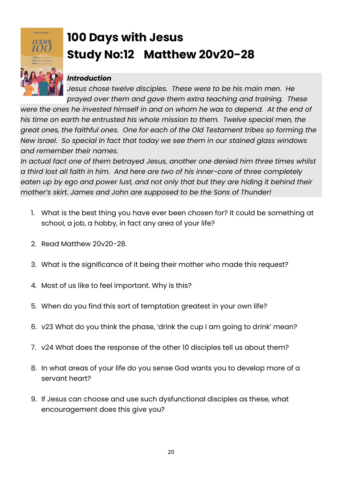

# **100 Days with Jesus Study No:12 Matthew 20v20-28**

### *Introduction*

*Jesus chose twelve disciples. These were to be his main men. He prayed over them and gave them extra teaching and training. These* 

*were the ones he invested himself in and on whom he was to depend. At the end of his time on earth he entrusted his whole mission to them. Twelve special men, the great ones, the faithful ones. One for each of the Old Testament tribes so forming the New Israel. So special in fact that today we see them in our stained glass windows and remember their names.* 

*In actual fact one of them betrayed Jesus, another one denied him three times whilst a third lost all faith in him. And here are two of his inner-core of three completely*  eaten up by ego and power lust, and not only that but they are hiding it behind their *mother's skirt. James and John are supposed to be the Sons of Thunder!*

- 1. What is the best thing you have ever been chosen for? It could be something at school, a job, a hobby, in fact any area of your life?
- 2. Read Matthew 20v20-28.
- 3. What is the significance of it being their mother who made this request?
- 4. Most of us like to feel important. Why is this?
- 5. When do you find this sort of temptation greatest in your own life?
- 6. v23 What do you think the phase, 'drink the cup I am going to drink' mean?
- 7. v24 What does the response of the other 10 disciples tell us about them?
- 8. In what areas of your life do you sense God wants you to develop more of a servant heart?
- 9. If Jesus can choose and use such dysfunctional disciples as these, what encouragement does this give you?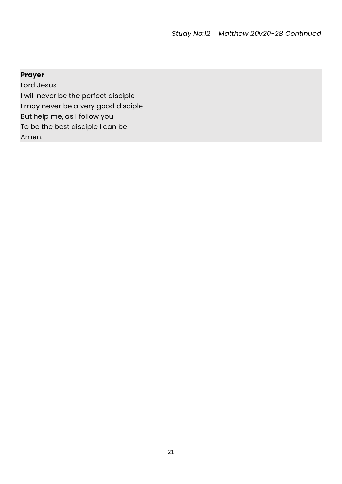Lord Jesus I will never be the perfect disciple I may never be a very good disciple But help me, as I follow you To be the best disciple I can be Amen.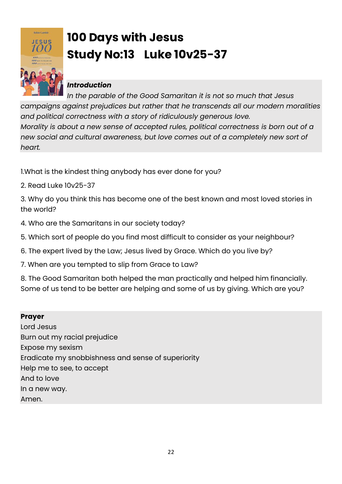

# **100 Days with Jesus Study No:13 Luke 10v25-37**

### *Introduction*

*In the parable of the Good Samaritan it is not so much that Jesus campaigns against prejudices but rather that he transcends all our modern moralities and political correctness with a story of ridiculously generous love. Morality is about a new sense of accepted rules, political correctness is born out of a new social and cultural awareness, but love comes out of a completely new sort of heart.* 

1.What is the kindest thing anybody has ever done for you?

2. Read Luke 10v25-37

3. Why do you think this has become one of the best known and most loved stories in the world?

- 4. Who are the Samaritans in our society today?
- 5. Which sort of people do you find most difficult to consider as your neighbour?
- 6. The expert lived by the Law; Jesus lived by Grace. Which do you live by?
- 7. When are you tempted to slip from Grace to Law?

8. The Good Samaritan both helped the man practically and helped him financially. Some of us tend to be better are helping and some of us by giving. Which are you?

### **Prayer**

Lord Jesus Burn out my racial prejudice Expose my sexism Eradicate my snobbishness and sense of superiority Help me to see, to accept And to love In a new way. Amen.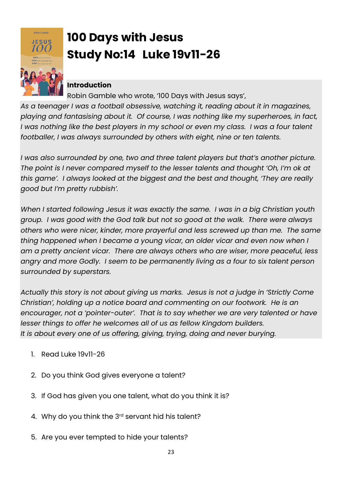

# **100 Days with Jesus Study No:14 Luke 19v11-26**

### **Introduction**

Robin Gamble who wrote, '100 Days with Jesus says',

*As a teenager I was a football obsessive, watching it, reading about it in magazines, playing and fantasising about it. Of course, I was nothing like my superheroes, in fact, I was nothing like the best players in my school or even my class. I was a four talent footballer, I was always surrounded by others with eight, nine or ten talents.* 

*I was also surrounded by one, two and three talent players but that's another picture. The point is I never compared myself to the lesser talents and thought 'Oh, I'm ok at this game'. I always looked at the biggest and the best and thought, 'They are really good but I'm pretty rubbish'.* 

*When I started following Jesus it was exactly the same. I was in a big Christian youth group. I was good with the God talk but not so good at the walk. There were always others who were nicer, kinder, more prayerful and less screwed up than me. The same thing happened when I became a young vicar, an older vicar and even now when I am a pretty ancient vicar. There are always others who are wiser, more peaceful, less angry and more Godly. I seem to be permanently living as a four to six talent person surrounded by superstars.*

*Actually this story is not about giving us marks. Jesus is not a judge in 'Strictly Come Christian', holding up a notice board and commenting on our footwork. He is an encourager, not a 'pointer-outer'. That is to say whether we are very talented or have lesser things to offer he welcomes all of us as fellow Kingdom builders. It is about every one of us offering, giving, trying, doing and never burying.* 

- 1. Read Luke 19v11-26
- 2. Do you think God gives everyone a talent?
- 3. If God has given you one talent, what do you think it is?
- 4. Why do you think the 3<sup>rd</sup> servant hid his talent?
- 5. Are you ever tempted to hide your talents?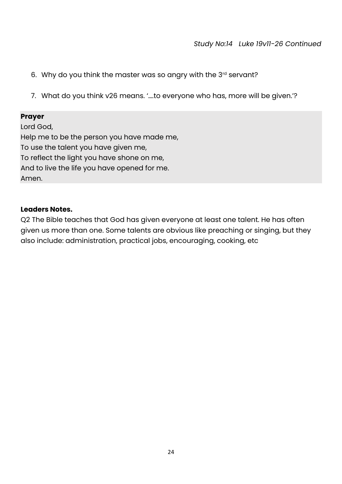- 6. Why do you think the master was so angry with the 3rd servant?
- 7. What do you think v26 means. '….to everyone who has, more will be given.'?

Lord God, Help me to be the person you have made me, To use the talent you have given me, To reflect the light you have shone on me, And to live the life you have opened for me. Amen.

#### **Leaders Notes.**

Q2 The Bible teaches that God has given everyone at least one talent. He has often given us more than one. Some talents are obvious like preaching or singing, but they also include: administration, practical jobs, encouraging, cooking, etc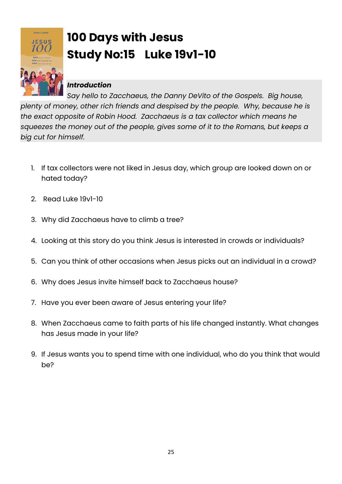

# **100 Days with Jesus Study No:15 Luke 19v1-10**

### *Introduction*

*Say hello to Zacchaeus, the Danny DeVito of the Gospels. Big house, plenty of money, other rich friends and despised by the people. Why, because he is the exact opposite of Robin Hood. Zacchaeus is a tax collector which means he squeezes the money out of the people, gives some of it to the Romans, but keeps a big cut for himself.*

- 1. If tax collectors were not liked in Jesus day, which group are looked down on or hated today?
- 2. Read Luke 19v1-10
- 3. Why did Zacchaeus have to climb a tree?
- 4. Looking at this story do you think Jesus is interested in crowds or individuals?
- 5. Can you think of other occasions when Jesus picks out an individual in a crowd?
- 6. Why does Jesus invite himself back to Zacchaeus house?
- 7. Have you ever been aware of Jesus entering your life?
- 8. When Zacchaeus came to faith parts of his life changed instantly. What changes has Jesus made in your life?
- 9. If Jesus wants you to spend time with one individual, who do you think that would be?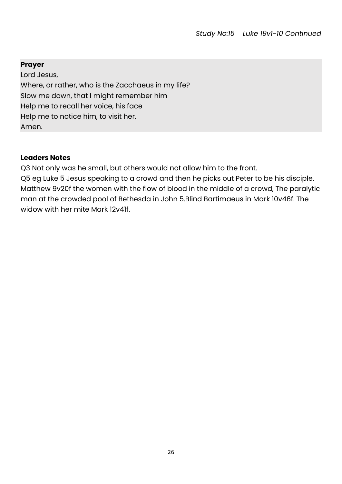Lord Jesus, Where, or rather, who is the Zacchaeus in my life? Slow me down, that I might remember him Help me to recall her voice, his face Help me to notice him, to visit her. Amen.

#### **Leaders Notes**

Q3 Not only was he small, but others would not allow him to the front. Q5 eg Luke 5 Jesus speaking to a crowd and then he picks out Peter to be his disciple. Matthew 9v20f the women with the flow of blood in the middle of a crowd, The paralytic man at the crowded pool of Bethesda in John 5.Blind Bartimaeus in Mark 10v46f. The widow with her mite Mark 12v41f.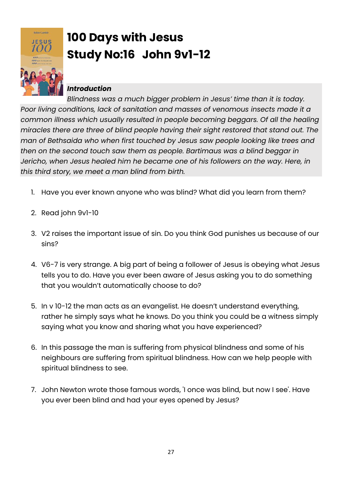

# **100 Days with Jesus Study No:16 John 9v1-12**

### *Introduction*

*Blindness was a much bigger problem in Jesus' time than it is today. Poor living conditions, lack of sanitation and masses of venomous insects made it a common illness which usually resulted in people becoming beggars. Of all the healing miracles there are three of blind people having their sight restored that stand out. The man of Bethsaida who when first touched by Jesus saw people looking like trees and then on the second touch saw them as people. Bartimaus was a blind beggar in Jericho, when Jesus healed him he became one of his followers on the way. Here, in this third story, we meet a man blind from birth.* 

- 1. Have you ever known anyone who was blind? What did you learn from them?
- 2. Read john 9v1-10
- 3. V2 raises the important issue of sin. Do you think God punishes us because of our sins?
- 4. V6-7 is very strange. A big part of being a follower of Jesus is obeying what Jesus tells you to do. Have you ever been aware of Jesus asking you to do something that you wouldn't automatically choose to do?
- 5. In v 10-12 the man acts as an evangelist. He doesn't understand everything, rather he simply says what he knows. Do you think you could be a witness simply saying what you know and sharing what you have experienced?
- 6. In this passage the man is suffering from physical blindness and some of his neighbours are suffering from spiritual blindness. How can we help people with spiritual blindness to see.
- 7. John Newton wrote those famous words, 'I once was blind, but now I see'. Have you ever been blind and had your eyes opened by Jesus?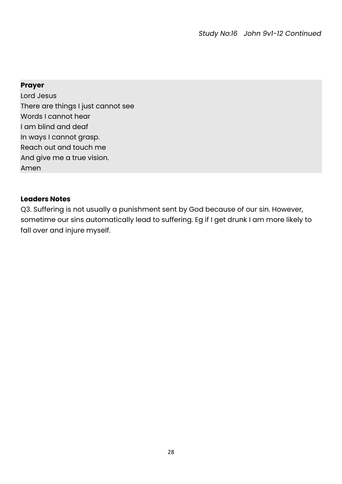Lord Jesus There are things I just cannot see Words I cannot hear I am blind and deaf In ways I cannot grasp. Reach out and touch me And give me a true vision. Amen

#### **Leaders Notes**

Q3. Suffering is not usually a punishment sent by God because of our sin. However, sometime our sins automatically lead to suffering. Eg if I get drunk I am more likely to fall over and injure myself.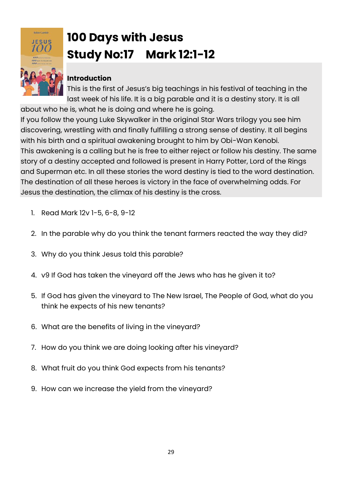

# **100 Days with Jesus Study No:17 Mark 12:1-12**

### **Introduction**

This is the first of Jesus's big teachings in his festival of teaching in the last week of his life. It is a big parable and it is a destiny story. It is all about who he is, what he is doing and where he is going.

If you follow the young Luke Skywalker in the original Star Wars trilogy you see him discovering, wrestling with and finally fulfilling a strong sense of destiny. It all begins with his birth and a spiritual awakening brought to him by Obi-Wan Kenobi. This awakening is a calling but he is free to either reject or follow his destiny. The same story of a destiny accepted and followed is present in Harry Potter, Lord of the Rings and Superman etc. In all these stories the word destiny is tied to the word destination. The destination of all these heroes is victory in the face of overwhelming odds. For Jesus the destination, the climax of his destiny is the cross.

- 1. Read Mark 12v 1-5, 6-8, 9-12
- 2. In the parable why do you think the tenant farmers reacted the way they did?
- 3. Why do you think Jesus told this parable?
- 4. v9 If God has taken the vineyard off the Jews who has he given it to?
- 5. If God has given the vineyard to The New Israel, The People of God, what do you think he expects of his new tenants?
- 6. What are the benefits of living in the vineyard?
- 7. How do you think we are doing looking after his vineyard?
- 8. What fruit do you think God expects from his tenants?
- 9. How can we increase the yield from the vineyard?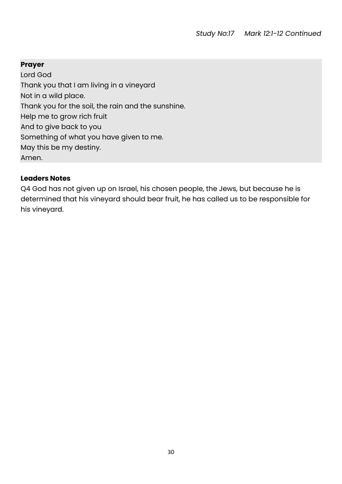Lord God Thank you that I am living in a vineyard Not in a wild place. Thank you for the soil, the rain and the sunshine. Help me to grow rich fruit And to give back to you Something of what you have given to me. May this be my destiny. Amen.

#### **Leaders Notes**

Q4 God has not given up on Israel, his chosen people, the Jews, but because he is determined that his vineyard should bear fruit, he has called us to be responsible for his vineyard.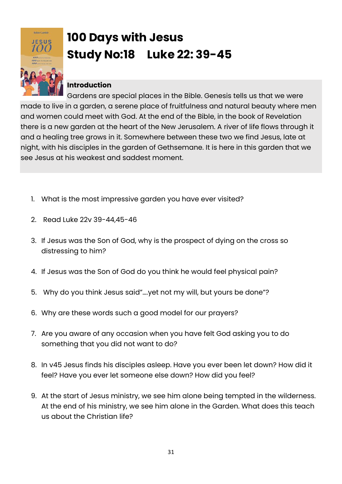

# **100 Days with Jesus Study No:18 Luke 22: 39-45**

### **Introduction**

Gardens are special places in the Bible. Genesis tells us that we were made to live in a garden, a serene place of fruitfulness and natural beauty where men and women could meet with God. At the end of the Bible, in the book of Revelation there is a new garden at the heart of the New Jerusalem. A river of life flows through it and a healing tree grows in it. Somewhere between these two we find Jesus, late at night, with his disciples in the garden of Gethsemane. It is here in this garden that we see Jesus at his weakest and saddest moment.

- 1. What is the most impressive garden you have ever visited?
- 2. Read Luke 22v 39-44,45-46
- 3. If Jesus was the Son of God, why is the prospect of dying on the cross so distressing to him?
- 4. If Jesus was the Son of God do you think he would feel physical pain?
- 5. Why do you think Jesus said"….yet not my will, but yours be done"?
- 6. Why are these words such a good model for our prayers?
- 7. Are you aware of any occasion when you have felt God asking you to do something that you did not want to do?
- 8. In v45 Jesus finds his disciples asleep. Have you ever been let down? How did it feel? Have you ever let someone else down? How did you feel?
- 9. At the start of Jesus ministry, we see him alone being tempted in the wilderness. At the end of his ministry, we see him alone in the Garden. What does this teach us about the Christian life?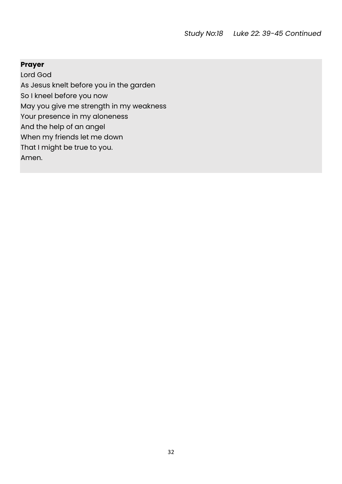Lord God As Jesus knelt before you in the garden So I kneel before you now May you give me strength in my weakness Your presence in my aloneness And the help of an angel When my friends let me down That I might be true to you.

Amen.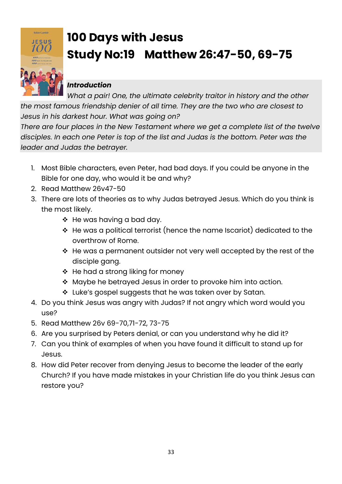

# **100 Days with Jesus Study No:19 Matthew 26:47-50, 69-75**

### *Introduction*

*What a pair! One, the ultimate celebrity traitor in history and the other the most famous friendship denier of all time. They are the two who are closest to Jesus in his darkest hour. What was going on?*

*There are four places in the New Testament where we get a complete list of the twelve disciples. In each one Peter is top of the list and Judas is the bottom. Peter was the leader and Judas the betrayer.*

- 1. Most Bible characters, even Peter, had bad days. If you could be anyone in the Bible for one day, who would it be and why?
- 2. Read Matthew 26v47-50
- 3. There are lots of theories as to why Judas betrayed Jesus. Which do you think is the most likely.
	- ❖ He was having a bad day.
	- ❖ He was a political terrorist (hence the name Iscariot) dedicated to the overthrow of Rome.
	- ❖ He was a permanent outsider not very well accepted by the rest of the disciple gang.
	- ❖ He had a strong liking for money
	- ❖ Maybe he betrayed Jesus in order to provoke him into action.
	- ❖ Luke's gospel suggests that he was taken over by Satan.
- 4. Do you think Jesus was angry with Judas? If not angry which word would you use?
- 5. Read Matthew 26v 69-70,71-72, 73-75
- 6. Are you surprised by Peters denial, or can you understand why he did it?
- 7. Can you think of examples of when you have found it difficult to stand up for Jesus.
- 8. How did Peter recover from denying Jesus to become the leader of the early Church? If you have made mistakes in your Christian life do you think Jesus can restore you?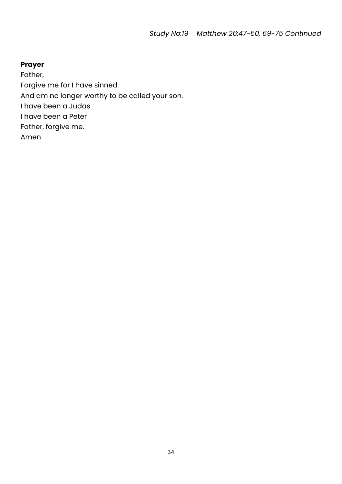Father, Forgive me for I have sinned And am no longer worthy to be called your son. I have been a Judas I have been a Peter Father, forgive me. Amen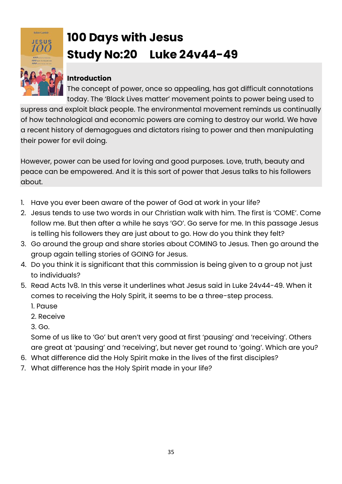

# **100 Days with Jesus Study No:20 Luke 24v44-49**

### **Introduction**

The concept of power, once so appealing, has got difficult connotations today. The 'Black Lives matter' movement points to power being used to

supress and exploit black people. The environmental movement reminds us continually of how technological and economic powers are coming to destroy our world. We have a recent history of demagogues and dictators rising to power and then manipulating their power for evil doing.

However, power can be used for loving and good purposes. Love, truth, beauty and peace can be empowered. And it is this sort of power that Jesus talks to his followers about.

- 1. Have you ever been aware of the power of God at work in your life?
- 2. Jesus tends to use two words in our Christian walk with him. The first is 'COME'. Come follow me. But then after a while he says 'GO'. Go serve for me. In this passage Jesus is telling his followers they are just about to go. How do you think they felt?
- 3. Go around the group and share stories about COMING to Jesus. Then go around the group again telling stories of GOING for Jesus.
- 4. Do you think it is significant that this commission is being given to a group not just to individuals?
- 5. Read Acts 1v8. In this verse it underlines what Jesus said in Luke 24v44-49. When it comes to receiving the Holy Spirit, it seems to be a three-step process.
	- 1. Pause
	- 2. Receive
	- 3. Go.

Some of us like to 'Go' but aren't very good at first 'pausing' and 'receiving'. Others are great at 'pausing' and 'receiving', but never get round to 'going'. Which are you?

- 6. What difference did the Holy Spirit make in the lives of the first disciples?
- 7. What difference has the Holy Spirit made in your life?